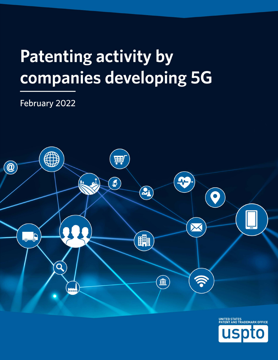# **Patenting activity by** companies developing 5G

## February 2022



**US** 

 $\overline{\textbf{O}}$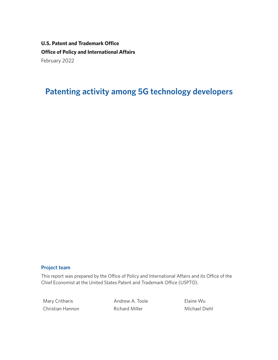**U.S. Patent and Trademark Office Office of Policy and International Affairs** February 2022

## **Patenting activity among 5G technology developers**

#### **Project team**

This report was prepared by the Office of Policy and International Affairs and its Office of the Chief Economist at the United States Patent and Trademark Office (USPTO).

Christian Hannon **Richard Miller** Michael Diehl

Mary Critharis **Andrew A. Toole** Elaine Wu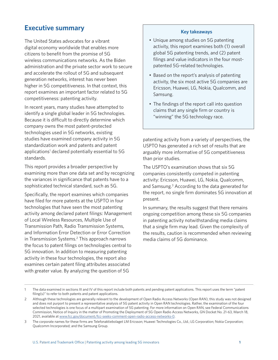## **Executive summary** Executive summary

The United States advocates for a vibrant digital economy worldwide that enables more citizens to benefit from the promise of 5G wireless communications networks. As the Biden administration and the private sector work to secure and accelerate the rollout of 5G and subsequent generation networks, interest has never been higher in 5G competitiveness. In that context, this report examines an important factor related to 5G competitiveness: patenting activity.

In recent years, many studies have attempted to identify a single global leader in 5G technologies. Because it is difficult to directly determine which company owns the most patent-protected technologies used in 5G networks, existing studies have examined company activity in 5G standardization work and patents and patent applications<sup>1</sup> declared potentially essential to 5G standards.

This report provides a broader perspective by examining more than one data set and by recognizing the variances in significance that patents have to a sophisticated technical standard, such as 5G.

Specifically, the report examines which companies have filed for more patents at the USPTO in four technologies that have seen the most patenting activity among declared patent flings: Management of Local Wireless Resources, Multiple Use of Transmission Path, Radio Transmission Systems, and Information Error Detection or Error Correction in Transmission Systems.<sup>2</sup> This approach narrows the focus to patent flings on technologies central to 5G innovation. In addition to measuring patenting activity in these four technologies, the report also examines certain patent fling attributes associated with greater value. By analyzing the question of 5G

- Unique among studies on 5G patenting activity, this report examines both (1) overall global 5G patenting trends, and (2) patent filings and value indicators in the four mostpatented 5G-related technologies.
- Based on the report's analysis of patenting activity, the six most active 5G companies are Ericsson, Huawei, LG, Nokia, Qualcomm, and Samsung.
- The findings of the report call into question claims that any single firm or country is "winning" the 5G technology race.

patenting activity from a variety of perspectives, the USPTO has generated a rich set of results that are arguably more informative of 5G competitiveness than prior studies.

The USPTO's examination shows that six 5G companies consistently competed in patenting activity: Ericsson, Huawei, LG, Nokia, Qualcomm, and Samsung.<sup>3</sup> According to the data generated for the report, no single firm dominates 5G innovation at present.

In summary, the results suggest that there remains ongoing competition among these six 5G companies in patenting activity notwithstanding media claims that a single frm may lead. Given the complexity of the results, caution is recommended when reviewing media claims of 5G dominance.

<sup>1</sup> The data examined in sections III and IV of this report include both patents and pending patent applications. This report uses the term "patent filing(s)" to refer to both patents and patent applications.

<sup>2</sup> Although these technologies are generally relevant to the development of Open Radio Access Networks (Open RAN), this study was not designed and does not purport to present a representative analysis of 5G patent activity in Open RAN technologies. Rather, the examination of the four selected technologies is one focus of a multipart examination of 5G patenting. For more information on Open RAN, see Federal Communications Commission, Notice of Inquiry in the matter of Promoting the Deployment of 5G Open Radio Access Networks, GN Docket No. 21-63, March 18, 2021, available at [www.fcc.gov/document/fcc-seeks-comment-open-radio-access-networks-0](http://www.fcc.gov/document/fcc-seeks-comment-open-radio-access-networks-0).

<sup>3</sup> The corporate names for these frms are Telefonaktiebolaget LM Ericsson; Huawei Technologies Co., Ltd.; LG Corporation; Nokia Corporation; Qualcomm Incorporated; and the Samsung Group.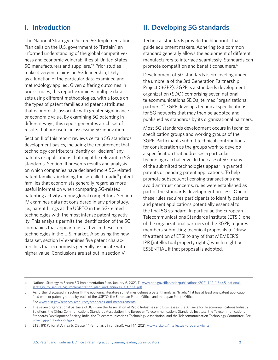### **I. Introduction**

The National Strategy to Secure 5G Implementation Plan calls on the U.S. government to "[attain] an informed understanding of the global competitiveness and economic vulnerabilities of United States 5G manufacturers and suppliers."4 Prior studies make divergent claims on 5G leadership, likely as a function of the particular data examined and methodology applied. Given difering outcomes in prior studies, this report examines multiple data sets using diferent methodologies, with a focus on the types of patent families and patent attributes that economists associate with greater significance or economic value. By examining 5G patenting in diferent ways, this report generates a rich set of results that are useful in assessing 5G innovation.

Section II of this report reviews certain 5G standards development basics, including the requirement that technology contributors identify or "declare" any patents or applications that might be relevant to 5G standards. Section III presents results and analysis on which companies have declared more 5G-related patent families, including the so-called triadic<sup>5</sup> patent families that economists generally regard as more useful information when comparing 5G-related patenting activity among global competitors. Section IV examines data not considered in any prior study, i.e., patent flings at the USPTO in the 5G-related technologies with the most intense patenting activity. This analysis permits the identifcation of the 5G companies that appear most active in these core technologies in the U.S. market. Also using the new data set, section IV examines five patent characteristics that economists generally associate with higher value. Conclusions are set out in section V.

### **II. Developing 5G standards**

Technical standards provide the blueprints that guide equipment makers. Adhering to a common standard generally allows the equipment of diferent manufacturers to interface seamlessly. Standards can promote competition and benefit consumers.<sup>6</sup>

Development of 5G standards is proceeding under the umbrella of the 3rd Generation Partnership Project (3GPP). 3GPP is a standards development organization (SDO) comprising seven national telecommunications SDOs, termed "organizational partners."<sup>7</sup> 3GPP develops technical specifications for 5G networks that may then be adopted and published as standards by its organizational partners.

Most 5G standards development occurs in technical specification groups and working groups of the 3GPP. Participants submit technical contributions for consideration as the groups work to develop a specification that addresses a particular technological challenge. In the case of 5G, many of the submitted technologies appear in granted patents or pending patent applications. To help promote subsequent licensing transactions and avoid antitrust concerns, rules were established as part of the standards development process. One of these rules requires participants to identify patents and patent applications potentially essential to the final 5G standard. In particular, the European Telecommunications Standards Institute (ETSI), one of the organizational partners of the 3GPP, requires members submitting technical proposals to "draw the attention of ETSI to any of that MEMBER'S IPR [intellectual property rights] which might be ESSENTIAL if that proposal is adopted."8

<sup>4</sup> National Strategy to Secure 5G Implementation Plan, January 6, 2021, 11, www.ntia.gov/files/ntia/publications/2021-1-12\_115445\_national\_ strategy\_to\_secure\_5g\_implementation\_plan\_and\_annexes\_a\_f\_final.pdf.

<sup>5</sup> As further discussed in section III, the economic literature sometimes defnes a patent family as "triadic" if it has at least one patent application filed with, or patent granted by, each of the USPTO, the European Patent Office, and the Japan Patent Office.

<sup>6</sup> See [www.nist.gov/services-resources/standards-and-measurements.](http://www.nist.gov/services-resources/standards-and-measurements)

<sup>7</sup> The seven organizational partners of 3GPP are the Association of Radio Industries and Businesses; the Alliance for Telecommunications Industry Solutions; the China Communications Standards Association; the European Telecommunications Standards Institute; the Telecommunications Standards Development Society, India; the Telecommunications Technology Association; and the Telecommunication Technology Committee. See [www.3gpp.org/about-3gpp](http://www.3gpp.org/about-3gpp).

<sup>8</sup> ETSI, IPR Policy at Annex 6, Clause 4.1 (emphasis in original), April 14, 2021, [www.etsi.org/intellectual-property-rights](http://www.etsi.org/intellectual-property-rights).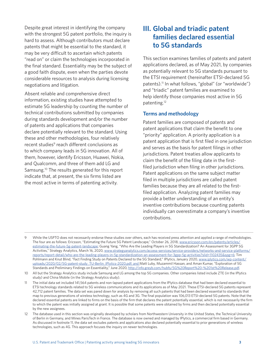Despite great interest in identifying the company<br>with the strongest 5G patent portfolio, the inquiry is<br>hard to assess. Although contributors must declare<br>natents that might be essential to the standard it<br>**to 5G standard** patents that might be essential to the standard, it may be very difficult to ascertain which patents "read on" or claim the technologies incorporated in the final standard. Essentiality may be the subject of a good faith dispute, even when the parties devote considerable resources to analysis during licensing negotiations and litigation.

Absent reliable and comprehensive direct information, existing studies have attempted to estimate 5G leadership by counting the number of technical contributions submitted by companies during standards development and/or the number of patents and applications that companies declare potentially relevant to the standard. Using these and other methodologies, four relatively recent studies<sup>9</sup> reach different conclusions as to which company leads in 5G innovation. All of them, however, identify Ericsson, Huawei, Nokia, and Qualcomm, and three of them add LG and [Samsung.10](https://Samsung.10) The results generated for this report indicate that, at present, the six firms listed are the most active in terms of patenting activity.

This section examines families of patents and patent applications declared, as of May 2021, by companies as potentially relevant to 5G standards pursuant to the ETSI requirement (hereinafter ETSI-declared 5G patents).<sup>11</sup> In what follows, "global" (or "worldwide") and "triadic" patent families are examined to help identify those companies most active in 5G [patenting.12](https://patenting.12) 

#### **Terms and methodology**

Patent families are composed of patents and patent applications that claim the benefit to one "priority" application. A priority application is a patent application that is first filed in one jurisdiction and serves as the basis for patent flings in other jurisdictions. Patent treaties allow applicants to claim the benefit of the filing date in the firstfiled jurisdiction when filing in other jurisdictions. Patent applications on the same subject matter filed in multiple jurisdictions are called patent families because they are all related to the firstfiled application. Analyzing patent families may provide a better understanding of an entity's inventive contributions because counting patents individually can overestimate a company's inventive contributions.

<sup>9</sup> While the USPTO does not necessarily endorse these studies over others, each has received press attention and applied a range of methodologies. The four are as follows: Ericsson, "Estimating the Future 5G Patent Landscape," October 26, 2018, [www.ericsson.com/en/patents/articles/](http://www.ericsson.com/en/patents/articles/estimating-the-future-5g-patent-landscape) [estimating-the-future-5g-patent-landscape](http://www.ericsson.com/en/patents/articles/estimating-the-future-5g-patent-landscape); Guang Yang, "Who Are the Leading Players in 5G Standardization? An Assessment for 3GPP 5G Activities," Strategy Analytics, March 16, 2020, [www.strategyanalytics.com/access-services/service-providers/networks-and-service-platforms/](http://www.strategyanalytics.com/access-services/service-providers/networks-and-service-platforms/reports/report-detail/who-are-the-leading-players-in-5g-standardization-an-assessment-for-3gpp-5g-activities?slid=1102435&spg=6) [reports/report-detail/who-are-the-leading-players-in-5g-standardization-an-assessment-for-3gpp-5g-activities?slid=1102435&spg=6](http://www.strategyanalytics.com/access-services/service-providers/networks-and-service-platforms/reports/report-detail/who-are-the-leading-players-in-5g-standardization-an-assessment-for-3gpp-5g-activities?slid=1102435&spg=6); Tim Pohlmann and Knut Blind, "Fact Finding Study on Patents Declared to the 5G Standard," IPlytics, January 2020, www.iplytics.com/wp-content/ [uploads/2020/02/5G-patent-study\\_TU-Berlin\\_IPlytics-2020.pdf;](https://www.iplytics.com/wp-content/uploads/2020/02/5G-patent-study_TU-Berlin_IPlytics-2020.pdf) and Matt Luby, Muzammil Hassan, and Aman Kumar, "Exploration of 5G Standards and Preliminary Findings on Essentiality," June 2020, [http://info.greyb.com/hubfs/5G%20Report%20-%201st%20Release.pdf.](http://info.greyb.com/hubfs/5G%20Report%20-%201st%20Release.pdf)

<sup>10</sup> All but the Strategy Analytics study include Samsung and LG among the top 5G companies. Other companies listed include ZTE (in the IPlytics study) and China Mobile (in the Strategy Analytics study).

<sup>11</sup> The initial data set included 141,564 patents and non-lapsed patent applications from the IPlytics database that had been declared essential to ETSI technology standards related to 5G wireless communications and its applications as of May 2021. These ETSI-declared 5G patents represent 42,712 patent families. The data set was pared down for analysis by removing all such patents that had been declared essential to standards that map to previous generations of wireless technology, such as 4G and 3G. The fnal population was 106,013 ETSI-declared 5G patents. Note that the declared essential patents are linked to firms on the basis of the firm that declares the patent potentially essential, which is not necessarily the firm to which the patent was initially assigned at grant. It is possible that some patents were obtained by firms and then declared potentially essential by the new assignees.

<sup>12</sup> The database used in this section was originally developed by scholars from Northwestern University in the United States, the Technical University of Berlin in Germany, and Mines ParisTech in France. The database is now owned and managed by IPlytics, a commercial frm based in Germany. As discussed in footnote 11, the data set excludes patents and applications also declared potentially essential to prior generations of wireless technologies, such as 4G. This approach focuses the inquiry on newer technologies.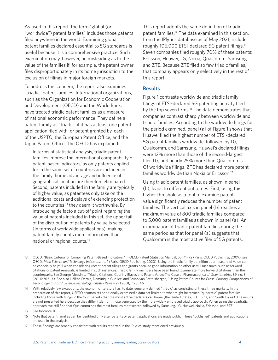As used in this report, the term "global (or "worldwide") patent families" includes those patents filed anywhere in the world. Examining global patent families declared essential to 5G standards is useful because it is a comprehensive practice. Such examination may, however, be misleading as to the value of the families if, for example, the patent owner files disproportionately in its home jurisdiction to the exclusion of flings in major foreign markets.

To address this concern, the report also examines "triadic" patent families. International organizations, such as the Organization for Economic Cooperation and Development (OECD) and the World Bank, have treated triadic patent families as a measure of national economic performance. They define a patent family as "triadic" if it has at least one patent application filed with, or patent granted by, each of the USPTO, the European Patent Office, and the Japan Patent Office. The OECD has explained:

In terms of statistical analysis, triadic patent families improve the international comparability of patent-based indicators, as only patents applied for in the same set of countries are included in the family; home advantage and infuence of geographical location are therefore eliminated. Second, patents included in the family are typically of higher value, as patentees only take on the additional costs and delays of extending protection to the countries if they deem it worthwhile. By introducing de facto a cut-off point regarding the value of patents included in this set, the upper tail of the distribution of patents by value is selected (in terms of worldwide applications), making patent family counts more informative than national or regional [counts.13](https://counts.13) 

This report adopts the same definition of triadic patent [families.14](https://families.14) The data examined in this section, from the IPlytics database as of May 2021, include roughly 106,000 ETSI-declared 5G patent [flings.15](https://filings.15)  Seven companies filed roughly 70% of these patents: Ericsson, Huawei, LG, Nokia, Qualcomm, Samsung, and ZTE. Because ZTE fled so few triadic families, that company appears only selectively in the rest of this report.

#### **Results**

Figure 1 contrasts worldwide and triadic family filings of ETSI-declared 5G patenting activity filed by the top seven firms.<sup>16</sup> The data demonstrates that companies contrast sharply between worldwide and triadic families. According to the worldwide flings for the period examined, panel (a) of Figure 1 shows that Huawei fled the highest number of ETSI-declared 5G patent families worldwide, followed by LG, Qualcomm, and Samsung. Huawei's declared flings were 12% more than those of the second-largest filer, LG, and nearly 25% more than Qualcomm's. Of worldwide flings, ZTE has declared more patent families worldwide than Nokia or [Ericsson.17](https://Ericsson.17)

Using triadic patent families, as shown in panel (b), leads to diferent outcomes. First, using this higher threshold as a tool to examine patent value signifcantly reduces the number of patent families. The vertical axis in panel (b) reaches a maximum value of 800 triadic families compared to 5,000 patent families as shown in panel (a). An examination of triadic patent families during the same period as that for panel (a) suggests that Qualcomm is the most active filer of 5G patents,

<sup>13</sup> OECD, "Basic Criteria for Compiling Patent-Based Indicators," in OECD Patent Statistics Manual, pp. 71−72 (Paris: OECD Publishing, 2009); see OECD, *Main Science and Technology Indicators*, no. 1 (Paris: OECD Publishing, 2020). Using the triadic family defnition as a measure of value can be especially helpful when considering recent patent flings and grants because good information on other useful measures, such as forward citations or patent renewals, is limited in such instances. Triadic family members have been found to generate more forward citations than their counterparts. See George Messinis, "Triadic Citations, Country Biases and Patent Value: The Case of Pharmaceuticals," *Scientometrics* 89, no. 3 (2011): 813−33. See also Hélène Dernis, Dominique Guellec, and Bruno van Pottelsberghe, "Using Patent Counts for Cross-Country Comparisons of Technology Output," *Science Technology Industry Review 27* (2001): 128−46.

<sup>14</sup> With relatively few exceptions, the economic literature has, to date, generally defned "triadic" as consisting of these three markets. In the preparation of this report, USPTO economists additionally examined a data set limited to what might be termed "quadratic" patent families, including those with flings in the four markets that the most active declarers call home (the United States, EU, China, and South Korea). The results are not presented here because they difer little from those generated by the more widely embraced triadic approach. When using the quadratic approach, we still find that Qualcomm has the most families represented, followed by Samsung, LG, Huawei, Nokia, Ericsson, and ZTE.

<sup>15</sup> See footnote 11.

<sup>16</sup> Note that patent families can be identifed only after patents or patent applications are made public. These "published" patents and applications are used in the analysis.

<sup>17</sup> These fndings are broadly consistent with results reported in the IPlytics study mentioned previously.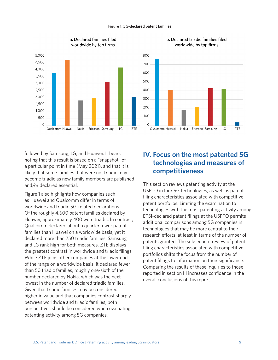#### **Figure 1: 5G-declared patent families**



#### a. Declared families filed worldwide by top firms

b. Declared triadic families filed worldwide by top firms

followed by Samsung, LG, and Huawei. It bears<br>
noting that this result is based on a "snapshot" of<br>
a particular point in time (May 2021), and that it is<br>
likely that some families that were not triadic may<br> **Competitivene** likely that some families that were not triadic may become triadic as new family members are published and/or declared essential.

Figure 1 also highlights how companies such as Huawei and Qualcomm difer in terms of worldwide and triadic 5G-related declarations. Of the roughly 4,600 patent families declared by Huawei, approximately 400 were triadic. In contrast, Qualcomm declared about a quarter fewer patent families than Huawei on a worldwide basis, yet it declared more than 750 triadic families. Samsung and LG rank high for both measures. ZTE displays the greatest contrast in worldwide and triadic flings. While ZTE joins other companies at the lower end of the range on a worldwide basis, it declared fewer than 50 triadic families, roughly one-sixth of the number declared by Nokia, which was the next lowest in the number of declared triadic families. Given that triadic families may be considered higher in value and that companies contrast sharply between worldwide and triadic families, both perspectives should be considered when evaluating patenting activity among 5G companies.

This section reviews patenting activity at the USPTO in four 5G technologies, as well as patent filing characteristics associated with competitive patent portfolios. Limiting the examination to technologies with the most patenting activity among ETSI-declared patent flings at the USPTO permits additional comparisons among 5G companies in technologies that may be more central to their research efforts, at least in terms of the number of patents granted. The subsequent review of patent filing characteristics associated with competitive portfolios shifts the focus from the number of patent filings to information on their significance. Comparing the results of these inquiries to those reported in section III increases confidence in the overall conclusions of this report.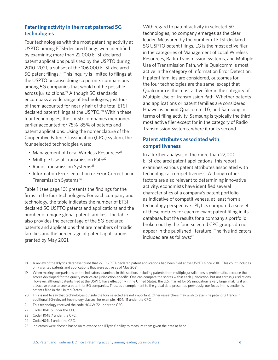#### **Patenting activity in the most patented 5G technologies**

Four technologies with the most patenting activity at USPTO among ETSI-declared flings were identifed by examining more than 22,000 ETSI-declared patent applications published by the USPTO during 2010–2021, a subset of the 106,000 ETSI-declared 5G patent [flings.18](https://filings.18) This inquiry is limited to flings at the USPTO because doing so permits comparisons among 5G companies that would not be possible across [jurisdictions.19](https://jurisdictions.19) Although 5G standards encompass a wide range of technologies, just four of them accounted for nearly half of the total ETSIdeclared patent filings at the USPTO.<sup>20</sup> Within these four technologies, the six 5G companies mentioned earlier accounted for 75%–85% of patents and patent applications. Using the nomenclature of the Cooperative Patent Classification (CPC) system, the four selected technologies were:

- Management of Local Wireless Resources<sup>21</sup>
- Multiple Use of Transmission Path<sup>22</sup>
- Radio Transmission Systems<sup>23</sup>
- Information Error Detection or Error Correction in Transmission Systems<sup>24</sup>

Table 1 (see page 10) presents the findings for the firms in the four technologies. For each company and technology, the table indicates the number of ETSIdeclared 5G USPTO patents and applications and the number of unique global patent families. The table also provides the percentage of the 5G-declared patents and applications that are members of triadic families and the percentage of patent applications granted by May 2021.

With regard to patent activity in selected 5G technologies, no company emerges as the clear leader. Measured by the number of ETSI-declared 5G USPTO patent flings, LG is the most active fler in the categories of Management of Local Wireless Resources, Radio Transmission Systems, and Multiple Use of Transmission Path, while Qualcomm is most active in the category of Information Error Detection. If patent families are considered, outcomes for the four technologies are the same, except that Qualcomm is the most active fler in the category of Multiple Use of Transmission Path. Whether patents and applications or patent families are considered, Huawei is behind Qualcomm, LG, and Samsung in terms of fling activity. Samsung is typically the thirdmost active fler except for in the category of Radio Transmission Systems, where it ranks second.

#### **Patent attributes associated with competitiveness**

In a further analysis of the more than 22,000 ETSI-declared patent applications, this report examines various patent attributes associated with technological competitiveness. Although other factors are also relevant to determining innovative activity, economists have identifed several characteristics of a company's patent portfolio as indicative of competitiveness, at least from a technology perspective. IPlytics computed a subset of these metrics for each relevant patent fling in its database, but the results for a company's portfolio broken out by the four selected CPC groups do not appear in the published literature. The five indicators included are as follows:<sup>25</sup>

24 Code H04L 1 under the CPC.

<sup>18</sup> A review of the IPlytics database found that 22,196 ESTI-declared patent applications had been fled at the USPTO since 2010. This count includes only granted patents and applications that were active as of May 2021.

<sup>19</sup> When making comparisons on the indicators examined in this section, including patents from multiple jurisdictions is problematic, because the scores developed for the quality metrics are jurisdiction-specifc. One can compare the scores within each jurisdiction, but not across jurisdictions. However, although patents filed at the USPTO have effect only in the United States, the U.S. market for 5G innovation is very large, making it an attractive place to seek a patent for 5G companies. Thus, as a complement to the global data presented previously, our focus in this section is patents filed in the United States.

<sup>20</sup> This is not to say that technologies outside the four selected are not important. Other researchers may wish to examine patenting trends in additional 5G-relevant technology classes, for example, H04J 11 under the CPC.

<sup>21</sup> This technology received the code H04W 72 under the CPC.

<sup>22</sup> Code H04L 5 under the CPC.

<sup>23</sup> Code H04B 7 under the CPC.

<sup>25</sup> Indicators were chosen based on relevance and IPlytics' ability to measure them given the data at hand.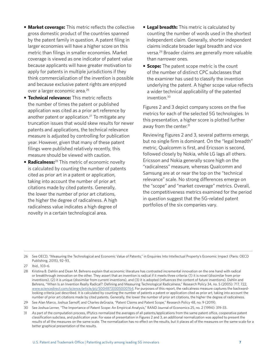- **Market coverage:** This metric reflects the collective gross domestic product of the countries spanned by the patent family in question. A patent fling in larger economies will have a higher score on this metric than filings in smaller economies. Market coverage is viewed as one indicator of patent value because applicants will have greater motivation to apply for patents in multiple jurisdictions if they think commercialization of the invention is possible and because exclusive patent rights are enjoyed over a larger economic area.26
- **Technical relevance:** This metric reflects the number of times the patent or published application was cited as a prior art reference by another patent or application.<sup>27</sup> To mitigate any truncation issues that would skew results for newer patents and applications, the technical relevance measure is adjusted by controlling for publication year. However, given that many of these patent filings were published relatively recently, this measure should be viewed with caution.
- **Radicalness:**<sup>28</sup> This metric of economic novelty is calculated by counting the number of patents cited as prior art in a patent or application, taking into account the number of prior art citations made by cited patents. Generally, the lower the number of prior art citations, the higher the degree of radicalness. A high radicalness value indicates a high degree of novelty in a certain technological area.
- **Legal breadth:** This metric is calculated by counting the number of words used in the shortest independent claim. Generally, shorter independent claims indicate broader legal breadth and vice [versa.29](https://versa.29) Broader claims are generally more valuable than narrower ones.
- **Scope:** The patent scope metric is the count of the number of distinct CPC subclasses that the examiner has used to classify the invention underlying the patent. A higher scope value reflects a wider technical applicability of the patented [invention.30](https://invention.30)

Figures 2 and 3 depict company scores on the five metrics for each of the selected 5G technologies. In this presentation, a higher score is plotted further away from the center.<sup>31</sup>

Reviewing Figures 2 and 3, several patterns emerge, but no single firm is dominant. On the "legal breadth" metric, Qualcomm is first, and Ericsson is second, followed closely by Nokia, while LG lags all others. Ericsson and Nokia generally score high on the "radicalness" measure, whereas Qualcomm and Samsung are at or near the top on the "technical relevance" scale. No strong diferences emerge on the "scope" and "market coverage" metrics. Overall, the competitiveness metrics examined for the period in question suggest that the 5G-related patent portfolios of the six companies vary.

<sup>26</sup> See OECD, "Measuring the Technological and Economic Value of Patents," in Enquiries Into Intellectual Property's Economic Impact (Paris: OECD Publishing, 2015), 92–93.

<sup>27</sup> Ibid., 103–6.

<sup>28</sup> Kristina B. Dahlin and Dean M. Behrens explain that economic literature has contrasted incremental innovation on the one hand with radical or breakthrough innovation on the other. They assert that an invention is radical if it meets three criteria: (1) it is novel (dissimilar from prior inventions), (2) it is unique (dissimilar from current inventions), and (3) it is adopted (infuences the content of future inventions). Dahlin and Behrens, "When Is an Invention Really Radical?: Defning and Measuring Technological Radicalness," Research Policy 34, no. 5 (2005): 717, 722, [www.sciencedirect.com/science/article/pii/S0048733305000764](http://www.sciencedirect.com/science/article/pii/S0048733305000764). For purposes of this report, the radicalness measure captures the backwardlooking criteria just described. It is calculated by counting the number of patents a patent or application cited as prior art, taking into account the number of prior art citations made by cited patents. Generally, the lower the number of prior art citations, the higher the degree of radicalness.

<sup>29</sup> See Alan Marco, Joshua Sarnof, and Charles deGrazia, "Patent Claims and Patent Scope," Research Policy 48, no. 9 (2019).

<sup>30</sup> See Joshua Lerner, "The Importance of Patent Scope: An Empirical Analysis," RAND Journal of Economics 25, no. 2 (1994): 319-33.

<sup>31</sup> As part of the computation process, IPlytics normalized the averages of all patents/applications from the same patent office, cooperative patent classifcation subclass, and publication year. For ease of presentation in Figures 2 and 3, an additional normalization was applied to present the results of all the measures on the same scale. The normalization has no efect on the results, but it places all of the measures on the same scale for a better graphical presentation of the results.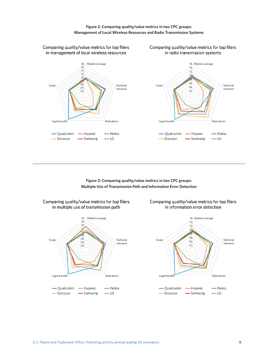**Figure 2: Comparing quality/value metrics in two CPC groups: Management of Local Wireless Resources and Radio Transmission Systems** 



**Figure 3: Comparing quality/value metrics in two CPC groups: Multiple Use of Transmission Path and Information Error Detection** 



Comparing quality/value metrics for top filers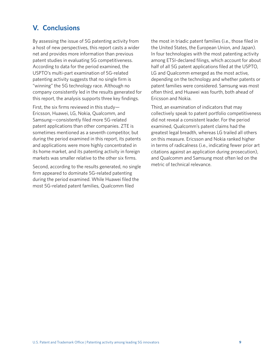### **V. Conclusions**

By assessing the issue of 5G patenting activity from a host of new perspectives, this report casts a wider net and provides more information than previous patent studies in evaluating 5G competitiveness. According to data for the period examined, the USPTO's multi-part examination of 5G-related patenting activity suggests that no single firm is "winning" the 5G technology race. Although no company consistently led in the results generated for this report, the analysis supports three key findings.

First, the six firms reviewed in this study-Ericsson, Huawei, LG, Nokia, Qualcomm, and Samsung—consistently fled more 5G-related patent applications than other companies. ZTE is sometimes mentioned as a seventh competitor, but during the period examined in this report, its patents and applications were more highly concentrated in its home market, and its patenting activity in foreign markets was smaller relative to the other six firms.

Second, according to the results generated, no single firm appeared to dominate 5G-related patenting during the period examined. While Huawei filed the most 5G-related patent families, Qualcomm fled

the most in triadic patent families (i.e., those fled in the United States, the European Union, and Japan). In four technologies with the most patenting activity among ETSI-declared flings, which account for about half of all 5G patent applications filed at the USPTO, LG and Qualcomm emerged as the most active, depending on the technology and whether patents or patent families were considered. Samsung was most often third, and Huawei was fourth, both ahead of Ericsson and Nokia.

Third, an examination of indicators that may collectively speak to patent portfolio competitiveness did not reveal a consistent leader. For the period examined, Qualcomm's patent claims had the greatest legal breadth, whereas LG trailed all others on this measure. Ericsson and Nokia ranked higher in terms of radicalness (i.e., indicating fewer prior art citations against an application during prosecution), and Qualcomm and Samsung most often led on the metric of technical relevance.